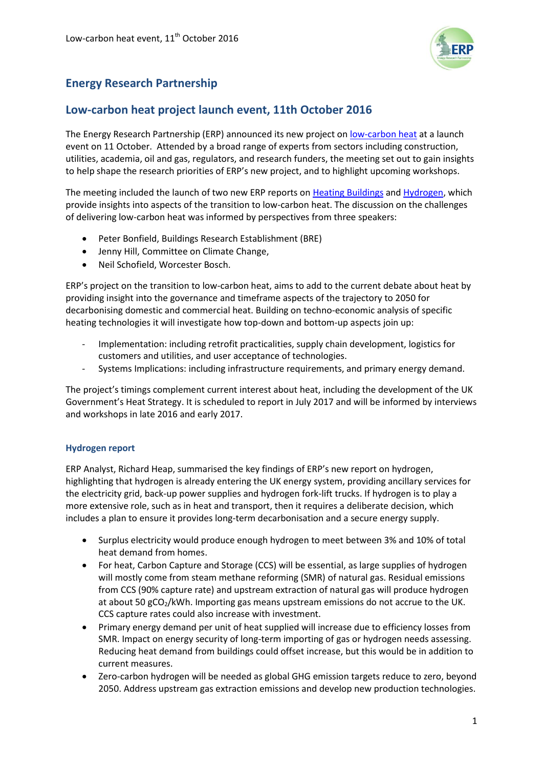

# **Energy Research Partnership**

## **Low-carbon heat project launch event, 11th October 2016**

The Energy Research Partnership (ERP) announced its new project o[n low-carbon heat](http://erpuk.org/project/low-carbon-heat/) at a launch event on 11 October. Attended by a broad range of experts from sectors including construction, utilities, academia, oil and gas, regulators, and research funders, the meeting set out to gain insights to help shape the research priorities of ERP's new project, and to highlight upcoming workshops.

The meeting included the launch of two new ERP reports on [Heating Buildings](http://www.erpuk.org/buildings/) and [Hydrogen,](http://www.erpuk.org/hydrogen/) which provide insights into aspects of the transition to low-carbon heat. The discussion on the challenges of delivering low-carbon heat was informed by perspectives from three speakers:

- Peter Bonfield, Buildings Research Establishment (BRE)
- Jenny Hill, Committee on Climate Change,
- Neil Schofield, Worcester Bosch.

ERP's project on the transition to low-carbon heat, aims to add to the current debate about heat by providing insight into the governance and timeframe aspects of the trajectory to 2050 for decarbonising domestic and commercial heat. Building on techno-economic analysis of specific heating technologies it will investigate how top-down and bottom-up aspects join up:

- Implementation: including retrofit practicalities, supply chain development, logistics for customers and utilities, and user acceptance of technologies.
- Systems Implications: including infrastructure requirements, and primary energy demand.

The project's timings complement current interest about heat, including the development of the UK Government's Heat Strategy. It is scheduled to report in July 2017 and will be informed by interviews and workshops in late 2016 and early 2017.

#### **Hydrogen report**

ERP Analyst, Richard Heap, summarised the key findings of ERP's new report on hydrogen, highlighting that hydrogen is already entering the UK energy system, providing ancillary services for the electricity grid, back-up power supplies and hydrogen fork-lift trucks. If hydrogen is to play a more extensive role, such as in heat and transport, then it requires a deliberate decision, which includes a plan to ensure it provides long-term decarbonisation and a secure energy supply.

- Surplus electricity would produce enough hydrogen to meet between 3% and 10% of total heat demand from homes.
- For heat, Carbon Capture and Storage (CCS) will be essential, as large supplies of hydrogen will mostly come from steam methane reforming (SMR) of natural gas. Residual emissions from CCS (90% capture rate) and upstream extraction of natural gas will produce hydrogen at about 50 gCO<sub>2</sub>/kWh. Importing gas means upstream emissions do not accrue to the UK. CCS capture rates could also increase with investment.
- Primary energy demand per unit of heat supplied will increase due to efficiency losses from SMR. Impact on energy security of long-term importing of gas or hydrogen needs assessing. Reducing heat demand from buildings could offset increase, but this would be in addition to current measures.
- Zero-carbon hydrogen will be needed as global GHG emission targets reduce to zero, beyond 2050. Address upstream gas extraction emissions and develop new production technologies.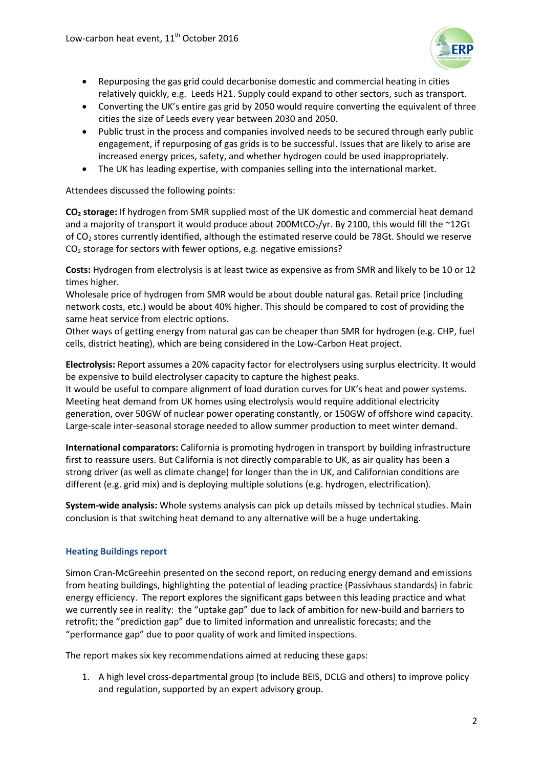

- Repurposing the gas grid could decarbonise domestic and commercial heating in cities relatively quickly, e.g. Leeds H21. Supply could expand to other sectors, such as transport.
- Converting the UK's entire gas grid by 2050 would require converting the equivalent of three cities the size of Leeds every year between 2030 and 2050.
- Public trust in the process and companies involved needs to be secured through early public engagement, if repurposing of gas grids is to be successful. Issues that are likely to arise are increased energy prices, safety, and whether hydrogen could be used inappropriately.
- The UK has leading expertise, with companies selling into the international market.

Attendees discussed the following points:

**CO<sup>2</sup> storage:** If hydrogen from SMR supplied most of the UK domestic and commercial heat demand and a majority of transport it would produce about 200MtCO<sub>2</sub>/yr. By 2100, this would fill the ~12Gt of CO<sub>2</sub> stores currently identified, although the estimated reserve could be 78Gt. Should we reserve  $CO<sub>2</sub>$  storage for sectors with fewer options, e.g. negative emissions?

**Costs:** Hydrogen from electrolysis is at least twice as expensive as from SMR and likely to be 10 or 12 times higher.

Wholesale price of hydrogen from SMR would be about double natural gas. Retail price (including network costs, etc.) would be about 40% higher. This should be compared to cost of providing the same heat service from electric options.

Other ways of getting energy from natural gas can be cheaper than SMR for hydrogen (e.g. CHP, fuel cells, district heating), which are being considered in the Low-Carbon Heat project.

**Electrolysis:** Report assumes a 20% capacity factor for electrolysers using surplus electricity. It would be expensive to build electrolyser capacity to capture the highest peaks.

It would be useful to compare alignment of load duration curves for UK's heat and power systems. Meeting heat demand from UK homes using electrolysis would require additional electricity generation, over 50GW of nuclear power operating constantly, or 150GW of offshore wind capacity. Large-scale inter-seasonal storage needed to allow summer production to meet winter demand.

**International comparators:** California is promoting hydrogen in transport by building infrastructure first to reassure users. But California is not directly comparable to UK, as air quality has been a strong driver (as well as climate change) for longer than the in UK, and Californian conditions are different (e.g. grid mix) and is deploying multiple solutions (e.g. hydrogen, electrification).

**System-wide analysis:** Whole systems analysis can pick up details missed by technical studies. Main conclusion is that switching heat demand to any alternative will be a huge undertaking.

#### **Heating Buildings report**

Simon Cran-McGreehin presented on the second report, on reducing energy demand and emissions from heating buildings, highlighting the potential of leading practice (Passivhaus standards) in fabric energy efficiency. The report explores the significant gaps between this leading practice and what we currently see in reality: the "uptake gap" due to lack of ambition for new-build and barriers to retrofit; the "prediction gap" due to limited information and unrealistic forecasts; and the "performance gap" due to poor quality of work and limited inspections.

The report makes six key recommendations aimed at reducing these gaps:

1. A high level cross-departmental group (to include BEIS, DCLG and others) to improve policy and regulation, supported by an expert advisory group.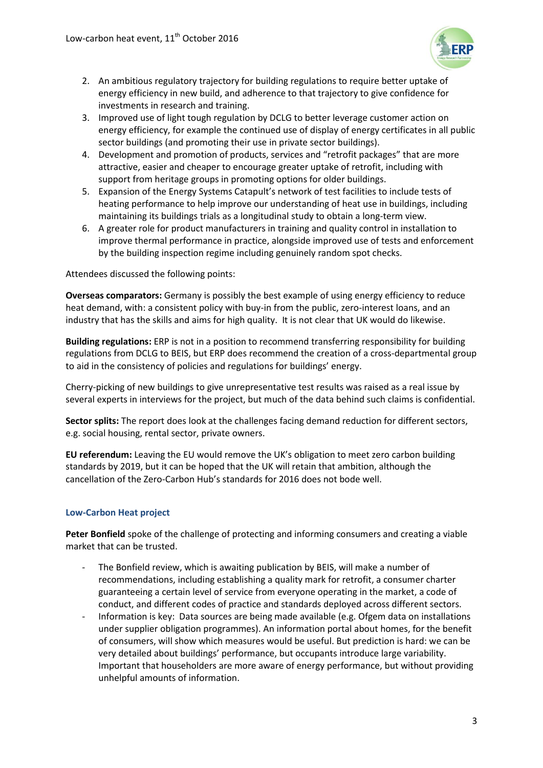

- 2. An ambitious regulatory trajectory for building regulations to require better uptake of energy efficiency in new build, and adherence to that trajectory to give confidence for investments in research and training.
- 3. Improved use of light tough regulation by DCLG to better leverage customer action on energy efficiency, for example the continued use of display of energy certificates in all public sector buildings (and promoting their use in private sector buildings).
- 4. Development and promotion of products, services and "retrofit packages" that are more attractive, easier and cheaper to encourage greater uptake of retrofit, including with support from heritage groups in promoting options for older buildings.
- 5. Expansion of the Energy Systems Catapult's network of test facilities to include tests of heating performance to help improve our understanding of heat use in buildings, including maintaining its buildings trials as a longitudinal study to obtain a long-term view.
- 6. A greater role for product manufacturers in training and quality control in installation to improve thermal performance in practice, alongside improved use of tests and enforcement by the building inspection regime including genuinely random spot checks.

Attendees discussed the following points:

**Overseas comparators:** Germany is possibly the best example of using energy efficiency to reduce heat demand, with: a consistent policy with buy-in from the public, zero-interest loans, and an industry that has the skills and aims for high quality. It is not clear that UK would do likewise.

**Building regulations:** ERP is not in a position to recommend transferring responsibility for building regulations from DCLG to BEIS, but ERP does recommend the creation of a cross-departmental group to aid in the consistency of policies and regulations for buildings' energy.

Cherry-picking of new buildings to give unrepresentative test results was raised as a real issue by several experts in interviews for the project, but much of the data behind such claims is confidential.

**Sector splits:** The report does look at the challenges facing demand reduction for different sectors, e.g. social housing, rental sector, private owners.

**EU referendum:** Leaving the EU would remove the UK's obligation to meet zero carbon building standards by 2019, but it can be hoped that the UK will retain that ambition, although the cancellation of the Zero-Carbon Hub's standards for 2016 does not bode well.

#### **Low-Carbon Heat project**

**Peter Bonfield** spoke of the challenge of protecting and informing consumers and creating a viable market that can be trusted.

- The Bonfield review, which is awaiting publication by BEIS, will make a number of recommendations, including establishing a quality mark for retrofit, a consumer charter guaranteeing a certain level of service from everyone operating in the market, a code of conduct, and different codes of practice and standards deployed across different sectors.
- Information is key: Data sources are being made available (e.g. Ofgem data on installations under supplier obligation programmes). An information portal about homes, for the benefit of consumers, will show which measures would be useful. But prediction is hard: we can be very detailed about buildings' performance, but occupants introduce large variability. Important that householders are more aware of energy performance, but without providing unhelpful amounts of information.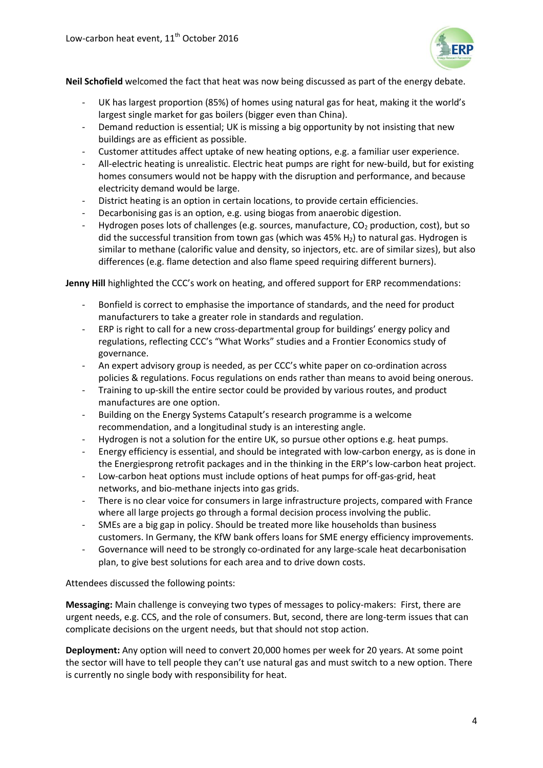

**Neil Schofield** welcomed the fact that heat was now being discussed as part of the energy debate.

- UK has largest proportion (85%) of homes using natural gas for heat, making it the world's largest single market for gas boilers (bigger even than China).
- Demand reduction is essential; UK is missing a big opportunity by not insisting that new buildings are as efficient as possible.
- Customer attitudes affect uptake of new heating options, e.g. a familiar user experience.
- All-electric heating is unrealistic. Electric heat pumps are right for new-build, but for existing homes consumers would not be happy with the disruption and performance, and because electricity demand would be large.
- District heating is an option in certain locations, to provide certain efficiencies.
- Decarbonising gas is an option, e.g. using biogas from anaerobic digestion.
- Hydrogen poses lots of challenges (e.g. sources, manufacture,  $CO<sub>2</sub>$  production, cost), but so did the successful transition from town gas (which was 45%  $H<sub>2</sub>$ ) to natural gas. Hydrogen is similar to methane (calorific value and density, so injectors, etc. are of similar sizes), but also differences (e.g. flame detection and also flame speed requiring different burners).

**Jenny Hill** highlighted the CCC's work on heating, and offered support for ERP recommendations:

- Bonfield is correct to emphasise the importance of standards, and the need for product manufacturers to take a greater role in standards and regulation.
- ERP is right to call for a new cross-departmental group for buildings' energy policy and regulations, reflecting CCC's "What Works" studies and a Frontier Economics study of governance.
- An expert advisory group is needed, as per CCC's white paper on co-ordination across policies & regulations. Focus regulations on ends rather than means to avoid being onerous.
- Training to up-skill the entire sector could be provided by various routes, and product manufactures are one option.
- Building on the Energy Systems Catapult's research programme is a welcome recommendation, and a longitudinal study is an interesting angle.
- Hydrogen is not a solution for the entire UK, so pursue other options e.g. heat pumps.
- Energy efficiency is essential, and should be integrated with low-carbon energy, as is done in the Energiesprong retrofit packages and in the thinking in the ERP's low-carbon heat project.
- Low-carbon heat options must include options of heat pumps for off-gas-grid, heat networks, and bio-methane injects into gas grids.
- There is no clear voice for consumers in large infrastructure projects, compared with France where all large projects go through a formal decision process involving the public.
- SMEs are a big gap in policy. Should be treated more like households than business customers. In Germany, the KfW bank offers loans for SME energy efficiency improvements.
- Governance will need to be strongly co-ordinated for any large-scale heat decarbonisation plan, to give best solutions for each area and to drive down costs.

Attendees discussed the following points:

**Messaging:** Main challenge is conveying two types of messages to policy-makers: First, there are urgent needs, e.g. CCS, and the role of consumers. But, second, there are long-term issues that can complicate decisions on the urgent needs, but that should not stop action.

**Deployment:** Any option will need to convert 20,000 homes per week for 20 years. At some point the sector will have to tell people they can't use natural gas and must switch to a new option. There is currently no single body with responsibility for heat.